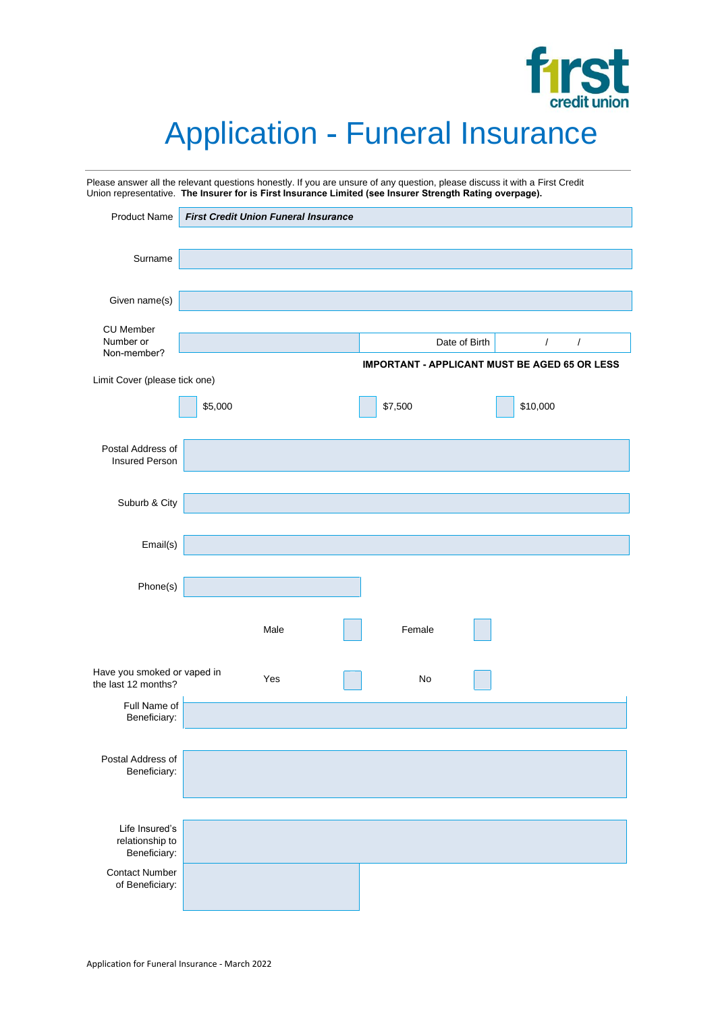

# Application - Funeral Insurance

| Please answer all the relevant questions honestly. If you are unsure of any question, please discuss it with a First Credit<br>Union representative. The Insurer for is First Insurance Limited (see Insurer Strength Rating overpage). |         |                                             |                                                      |         |               |            |            |
|-----------------------------------------------------------------------------------------------------------------------------------------------------------------------------------------------------------------------------------------|---------|---------------------------------------------|------------------------------------------------------|---------|---------------|------------|------------|
| <b>Product Name</b>                                                                                                                                                                                                                     |         | <b>First Credit Union Funeral Insurance</b> |                                                      |         |               |            |            |
| Surname                                                                                                                                                                                                                                 |         |                                             |                                                      |         |               |            |            |
|                                                                                                                                                                                                                                         |         |                                             |                                                      |         |               |            |            |
| Given name(s)                                                                                                                                                                                                                           |         |                                             |                                                      |         |               |            |            |
| <b>CU Member</b><br>Number or                                                                                                                                                                                                           |         |                                             |                                                      |         | Date of Birth | $\sqrt{2}$ | $\sqrt{2}$ |
| Non-member?                                                                                                                                                                                                                             |         |                                             | <b>IMPORTANT - APPLICANT MUST BE AGED 65 OR LESS</b> |         |               |            |            |
| Limit Cover (please tick one)                                                                                                                                                                                                           |         |                                             |                                                      |         |               |            |            |
|                                                                                                                                                                                                                                         | \$5,000 |                                             |                                                      | \$7,500 |               | \$10,000   |            |
| Postal Address of<br><b>Insured Person</b>                                                                                                                                                                                              |         |                                             |                                                      |         |               |            |            |
|                                                                                                                                                                                                                                         |         |                                             |                                                      |         |               |            |            |
| Suburb & City                                                                                                                                                                                                                           |         |                                             |                                                      |         |               |            |            |
| Email(s)                                                                                                                                                                                                                                |         |                                             |                                                      |         |               |            |            |
| Phone(s)                                                                                                                                                                                                                                |         |                                             |                                                      |         |               |            |            |
|                                                                                                                                                                                                                                         |         | Male                                        |                                                      | Female  |               |            |            |
| Have you smoked or vaped in<br>the last 12 months?                                                                                                                                                                                      |         | Yes                                         |                                                      | No      |               |            |            |
| Full Name of<br>Beneficiary:                                                                                                                                                                                                            |         |                                             |                                                      |         |               |            |            |
| Postal Address of                                                                                                                                                                                                                       |         |                                             |                                                      |         |               |            |            |
| Beneficiary:                                                                                                                                                                                                                            |         |                                             |                                                      |         |               |            |            |
|                                                                                                                                                                                                                                         |         |                                             |                                                      |         |               |            |            |
| Life Insured's<br>relationship to<br>Beneficiary:                                                                                                                                                                                       |         |                                             |                                                      |         |               |            |            |
| <b>Contact Number</b><br>of Beneficiary:                                                                                                                                                                                                |         |                                             |                                                      |         |               |            |            |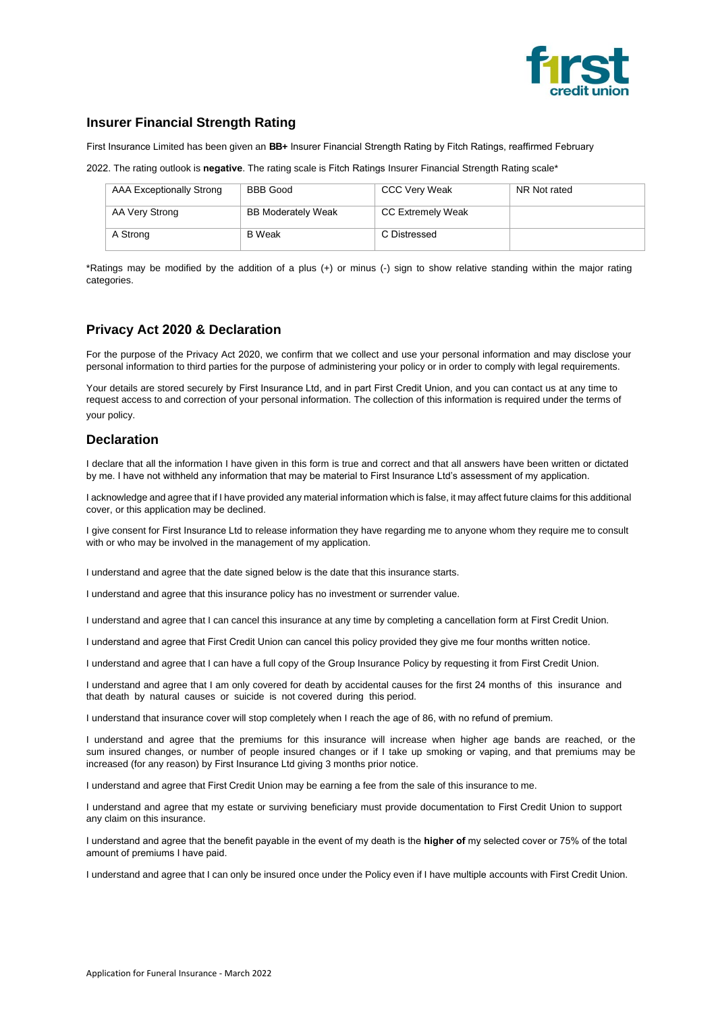

## **Insurer Financial Strength Rating**

First Insurance Limited has been given an **BB+** Insurer Financial Strength Rating by Fitch Ratings, reaffirmed February

2022. The rating outlook is **negative**. The rating scale is Fitch Ratings Insurer Financial Strength Rating scale\*

| AAA Exceptionally Strong | <b>BBB Good</b>           | <b>CCC Very Weak</b>     | NR Not rated |
|--------------------------|---------------------------|--------------------------|--------------|
| AA Very Strong           | <b>BB Moderately Weak</b> | <b>CC Extremely Weak</b> |              |
| A Strong                 | <b>B</b> Weak             | C Distressed             |              |

\*Ratings may be modified by the addition of a plus (+) or minus (-) sign to show relative standing within the major rating categories.

## **Privacy Act 2020 & Declaration**

For the purpose of the Privacy Act 2020, we confirm that we collect and use your personal information and may disclose your personal information to third parties for the purpose of administering your policy or in order to comply with legal requirements.

Your details are stored securely by First Insurance Ltd, and in part First Credit Union, and you can contact us at any time to request access to and correction of your personal information. The collection of this information is required under the terms of your policy.

#### **Declaration**

I declare that all the information I have given in this form is true and correct and that all answers have been written or dictated by me. I have not withheld any information that may be material to First Insurance Ltd's assessment of my application.

I acknowledge and agree that if I have provided any material information which is false, it may affect future claims for this additional cover, or this application may be declined.

I give consent for First Insurance Ltd to release information they have regarding me to anyone whom they require me to consult with or who may be involved in the management of my application.

I understand and agree that the date signed below is the date that this insurance starts.

I understand and agree that this insurance policy has no investment or surrender value.

I understand and agree that I can cancel this insurance at any time by completing a cancellation form at First Credit Union.

I understand and agree that First Credit Union can cancel this policy provided they give me four months written notice.

I understand and agree that I can have a full copy of the Group Insurance Policy by requesting it from First Credit Union.

I understand and agree that I am only covered for death by accidental causes for the first 24 months of this insurance and that death by natural causes or suicide is not covered during this period.

I understand that insurance cover will stop completely when I reach the age of 86, with no refund of premium.

I understand and agree that the premiums for this insurance will increase when higher age bands are reached, or the sum insured changes, or number of people insured changes or if I take up smoking or vaping, and that premiums may be increased (for any reason) by First Insurance Ltd giving 3 months prior notice.

I understand and agree that First Credit Union may be earning a fee from the sale of this insurance to me.

I understand and agree that my estate or surviving beneficiary must provide documentation to First Credit Union to support any claim on this insurance.

I understand and agree that the benefit payable in the event of my death is the **higher of** my selected cover or 75% of the total amount of premiums I have paid.

I understand and agree that I can only be insured once under the Policy even if I have multiple accounts with First Credit Union.